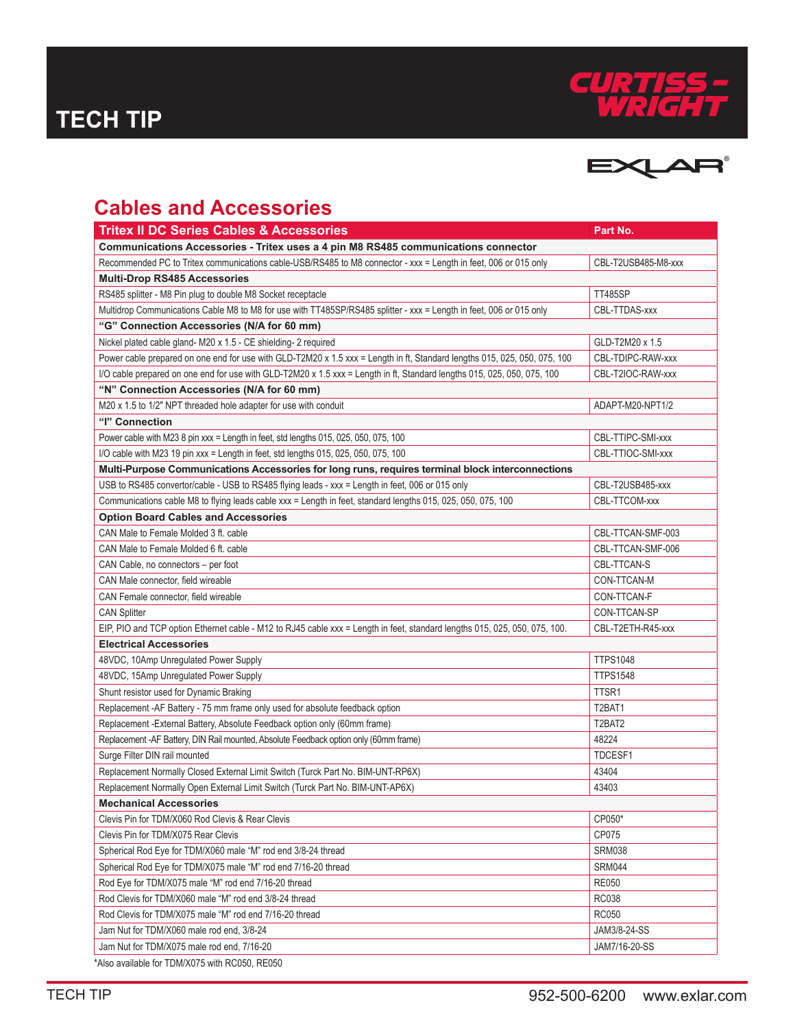



## **Cables and Accessories**

| <b>Tritex II DC Series Cables &amp; Accessories</b>                                                                        | Part No.            |
|----------------------------------------------------------------------------------------------------------------------------|---------------------|
| Communications Accessories - Tritex uses a 4 pin M8 RS485 communications connector                                         |                     |
| Recommended PC to Tritex communications cable-USB/RS485 to M8 connector - xxx = Length in feet, 006 or 015 only            | CBL-T2USB485-M8-xxx |
| <b>Multi-Drop RS485 Accessories</b>                                                                                        |                     |
| RS485 splitter - M8 Pin plug to double M8 Socket receptacle                                                                | <b>TT485SP</b>      |
| Multidrop Communications Cable M8 to M8 for use with TT485SP/RS485 splitter - xxx = Length in feet, 006 or 015 only        | CBL-TTDAS-xxx       |
| "G" Connection Accessories (N/A for 60 mm)                                                                                 |                     |
| Nickel plated cable gland- M20 x 1.5 - CE shielding- 2 required                                                            | GLD-T2M20 x 1.5     |
| Power cable prepared on one end for use with GLD-T2M20 x 1.5 xxx = Length in ft, Standard lengths 015, 025, 050, 075, 100  | CBL-TDIPC-RAW-xxx   |
| I/O cable prepared on one end for use with GLD-T2M20 x 1.5 xxx = Length in ft, Standard lengths 015, 025, 050, 075, 100    | CBL-T2IOC-RAW-xxx   |
| "N" Connection Accessories (N/A for 60 mm)                                                                                 |                     |
| M20 x 1.5 to 1/2" NPT threaded hole adapter for use with conduit                                                           | ADAPT-M20-NPT1/2    |
| "I" Connection                                                                                                             |                     |
| Power cable with M23 8 pin xxx = Length in feet, std lengths 015, 025, 050, 075, 100                                       | CBL-TTIPC-SMI-xxx   |
| I/O cable with M23 19 pin xxx = Length in feet, std lengths 015, 025, 050, 075, 100                                        | CBL-TTIOC-SMI-xxx   |
| Multi-Purpose Communications Accessories for long runs, requires terminal block interconnections                           |                     |
| USB to RS485 convertor/cable - USB to RS485 flying leads - xxx = Length in feet, 006 or 015 only                           | CBL-T2USB485-xxx    |
| Communications cable M8 to flying leads cable xxx = Length in feet, standard lengths 015, 025, 050, 075, 100               | CBL-TTCOM-xxx       |
| <b>Option Board Cables and Accessories</b>                                                                                 |                     |
| CAN Male to Female Molded 3 ft. cable                                                                                      | CBL-TTCAN-SMF-003   |
| CAN Male to Female Molded 6 ft. cable                                                                                      | CBL-TTCAN-SMF-006   |
| CAN Cable, no connectors – per foot                                                                                        | CBL-TTCAN-S         |
| CAN Male connector, field wireable                                                                                         | CON-TTCAN-M         |
| CAN Female connector, field wireable                                                                                       | CON-TTCAN-F         |
| <b>CAN Splitter</b>                                                                                                        | CON-TTCAN-SP        |
| EIP, PIO and TCP option Ethernet cable - M12 to RJ45 cable xxx = Length in feet, standard lengths 015, 025, 050, 075, 100. | CBL-T2ETH-R45-xxx   |
| <b>Electrical Accessories</b>                                                                                              |                     |
| 48VDC, 10Amp Unregulated Power Supply                                                                                      | <b>TTPS1048</b>     |
| 48VDC, 15Amp Unregulated Power Supply                                                                                      | <b>TTPS1548</b>     |
| Shunt resistor used for Dynamic Braking                                                                                    | TTSR1               |
| Replacement -AF Battery - 75 mm frame only used for absolute feedback option                                               | T2BAT1              |
| Replacement - External Battery, Absolute Feedback option only (60mm frame)                                                 | T2BAT2              |
| Replacement -AF Battery, DIN Rail mounted, Absolute Feedback option only (60mm frame)                                      | 48224               |
| Surge Filter DIN rail mounted                                                                                              | TDCESF1             |
| Replacement Normally Closed External Limit Switch (Turck Part No. BIM-UNT-RP6X)                                            | 43404               |
| Replacement Normally Open External Limit Switch (Turck Part No. BIM-UNT-AP6X)                                              | 43403               |
| <b>Mechanical Accessories</b>                                                                                              |                     |
| Clevis Pin for TDM/X060 Rod Clevis & Rear Clevis                                                                           | CP050*              |
| Clevis Pin for TDM/X075 Rear Clevis                                                                                        | CP075               |
| Spherical Rod Eye for TDM/X060 male "M" rod end 3/8-24 thread                                                              | <b>SRM038</b>       |
| Spherical Rod Eye for TDM/X075 male "M" rod end 7/16-20 thread                                                             | <b>SRM044</b>       |
| Rod Eye for TDM/X075 male "M" rod end 7/16-20 thread                                                                       | <b>RE050</b>        |
| Rod Clevis for TDM/X060 male "M" rod end 3/8-24 thread                                                                     | <b>RC038</b>        |
| Rod Clevis for TDM/X075 male "M" rod end 7/16-20 thread                                                                    | <b>RC050</b>        |
| Jam Nut for TDM/X060 male rod end, 3/8-24                                                                                  | JAM3/8-24-SS        |
| Jam Nut for TDM/X075 male rod end, 7/16-20                                                                                 | JAM7/16-20-SS       |
| *Also available for TDM/X075 with RC050, RE050                                                                             |                     |